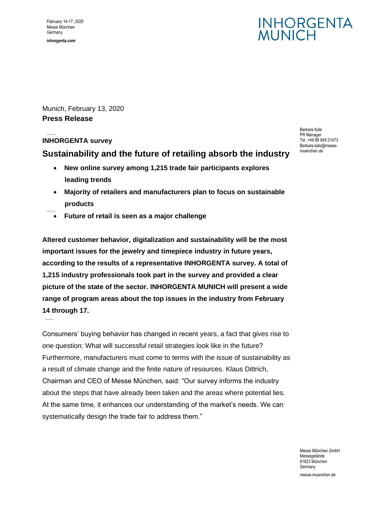## **INHORGENTA** WUNICH

Munich, February 13, 2020 **Press Release**

### **INHORGENTA survey**

### **Sustainability and the future of retailing absorb the industry**

- **New online survey among 1,215 trade fair participants explores leading trends**
- **Majority of retailers and manufacturers plan to focus on sustainable products**
- **Future of retail is seen as a major challenge**

**Altered customer behavior, digitalization and sustainability will be the most important issues for the jewelry and timepiece industry in future years, according to the results of a representative INHORGENTA survey. A total of 1,215 industry professionals took part in the survey and provided a clear picture of the state of the sector. INHORGENTA MUNICH will present a wide range of program areas about the top issues in the industry from February 14 through 17.** 

Consumers' buying behavior has changed in recent years, a fact that gives rise to one question: What will successful retail strategies look like in the future? Furthermore, manufacturers must come to terms with the issue of sustainability as a result of climate change and the finite nature of resources. Klaus Dittrich, Chairman and CEO of Messe München, said: "Our survey informs the industry about the steps that have already been taken and the areas where potential lies. At the same time, it enhances our understanding of the market's needs. We can systematically design the trade fair to address them."

Barbara Kals PR Manager Tel. +49 89 949 21473 Barbara.kals@messemuenchen.de

Messe München GmbH Messegelände 81823 München Germany messe-muenchen.de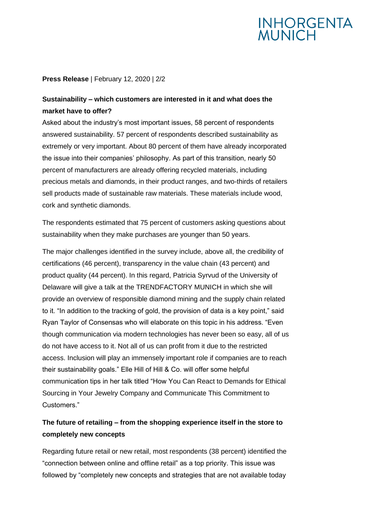# **INHORGENTA**<br>MUNICH

### **Press Release** | February 12, 2020 | 2/2

### **Sustainability – which customers are interested in it and what does the market have to offer?**

Asked about the industry's most important issues, 58 percent of respondents answered sustainability. 57 percent of respondents described sustainability as extremely or very important. About 80 percent of them have already incorporated the issue into their companies' philosophy. As part of this transition, nearly 50 percent of manufacturers are already offering recycled materials, including precious metals and diamonds, in their product ranges, and two-thirds of retailers sell products made of sustainable raw materials. These materials include wood, cork and synthetic diamonds.

The respondents estimated that 75 percent of customers asking questions about sustainability when they make purchases are younger than 50 years.

The major challenges identified in the survey include, above all, the credibility of certifications (46 percent), transparency in the value chain (43 percent) and product quality (44 percent). In this regard, Patricia Syrvud of the University of Delaware will give a talk at the TRENDFACTORY MUNICH in which she will provide an overview of responsible diamond mining and the supply chain related to it. "In addition to the tracking of gold, the provision of data is a key point," said Ryan Taylor of Consensas who will elaborate on this topic in his address. "Even though communication via modern technologies has never been so easy, all of us do not have access to it. Not all of us can profit from it due to the restricted access. Inclusion will play an immensely important role if companies are to reach their sustainability goals." Elle Hill of Hill & Co. will offer some helpful communication tips in her talk titled "How You Can React to Demands for Ethical Sourcing in Your Jewelry Company and Communicate This Commitment to Customers."

### **The future of retailing – from the shopping experience itself in the store to completely new concepts**

Regarding future retail or new retail, most respondents (38 percent) identified the "connection between online and offline retail" as a top priority. This issue was followed by "completely new concepts and strategies that are not available today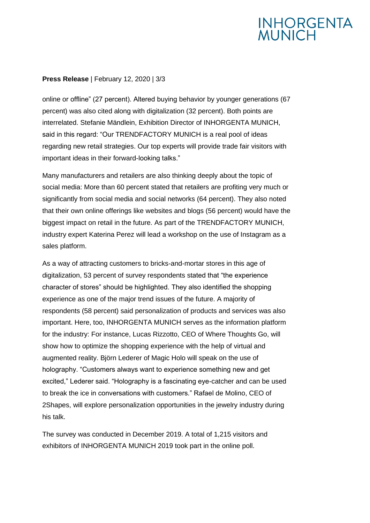# **INHORGENTA**<br>MUNICH

### **Press Release** | February 12, 2020 | 3/3

online or offline" (27 percent). Altered buying behavior by younger generations (67 percent) was also cited along with digitalization (32 percent). Both points are interrelated. Stefanie Mändlein, Exhibition Director of INHORGENTA MUNICH, said in this regard: "Our TRENDFACTORY MUNICH is a real pool of ideas regarding new retail strategies. Our top experts will provide trade fair visitors with important ideas in their forward-looking talks."

Many manufacturers and retailers are also thinking deeply about the topic of social media: More than 60 percent stated that retailers are profiting very much or significantly from social media and social networks (64 percent). They also noted that their own online offerings like websites and blogs (56 percent) would have the biggest impact on retail in the future. As part of the TRENDFACTORY MUNICH, industry expert Katerina Perez will lead a workshop on the use of Instagram as a sales platform.

As a way of attracting customers to bricks-and-mortar stores in this age of digitalization, 53 percent of survey respondents stated that "the experience character of stores" should be highlighted. They also identified the shopping experience as one of the major trend issues of the future. A majority of respondents (58 percent) said personalization of products and services was also important. Here, too, INHORGENTA MUNICH serves as the information platform for the industry: For instance, Lucas Rizzotto, CEO of Where Thoughts Go, will show how to optimize the shopping experience with the help of virtual and augmented reality. Björn Lederer of Magic Holo will speak on the use of holography. "Customers always want to experience something new and get excited," Lederer said. "Holography is a fascinating eye-catcher and can be used to break the ice in conversations with customers." Rafael de Molino, CEO of 2Shapes, will explore personalization opportunities in the jewelry industry during his talk.

The survey was conducted in December 2019. A total of 1,215 visitors and exhibitors of INHORGENTA MUNICH 2019 took part in the online poll.